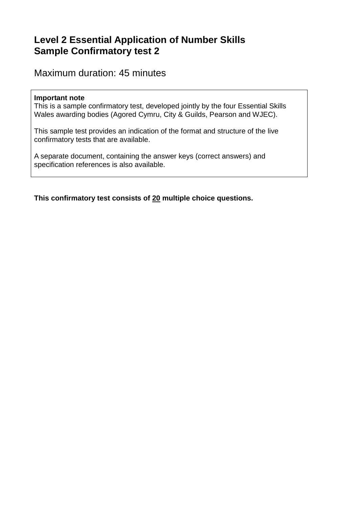# **Level 2 Essential Application of Number Skills Sample Confirmatory test 2**

Maximum duration: 45 minutes

#### **Important note**

This is a sample confirmatory test, developed jointly by the four Essential Skills Wales awarding bodies (Agored Cymru, City & Guilds, Pearson and WJEC).

This sample test provides an indication of the format and structure of the live confirmatory tests that are available.

A separate document, containing the answer keys (correct answers) and specification references is also available.

**This confirmatory test consists of 20 multiple choice questions.**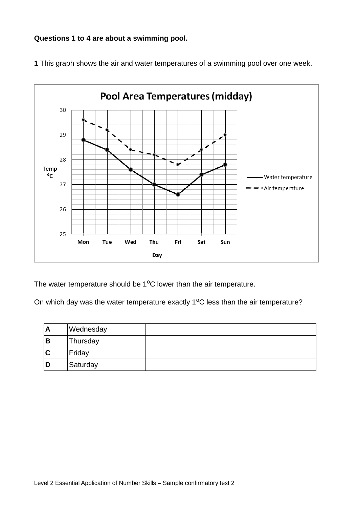#### **Questions 1 to 4 are about a swimming pool.**



**1** This graph shows the air and water temperatures of a swimming pool over one week.

The water temperature should be  $1^{\circ}$ C lower than the air temperature.

On which day was the water temperature exactly  $1^{\circ}$ C less than the air temperature?

| A | Wednesday |  |
|---|-----------|--|
| B | Thursday  |  |
| C | Friday    |  |
| D | Saturday  |  |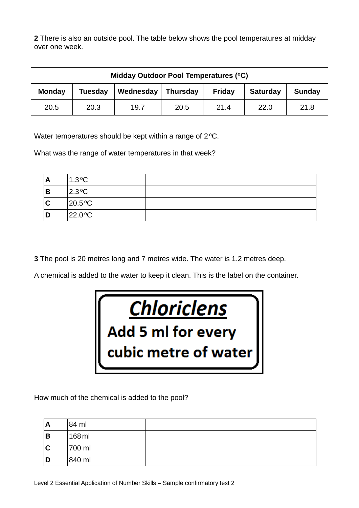**2** There is also an outside pool. The table below shows the pool temperatures at midday over one week.

| Midday Outdoor Pool Temperatures (°C)                                                                         |      |      |      |      |      |      |
|---------------------------------------------------------------------------------------------------------------|------|------|------|------|------|------|
| Wednesday<br>Tuesday<br><b>Monday</b><br><b>Saturday</b><br><b>Thursday</b><br><b>Friday</b><br><b>Sunday</b> |      |      |      |      |      |      |
| 20.5                                                                                                          | 20.3 | 19.7 | 20.5 | 21.4 | 22.0 | 21.8 |

Water temperatures should be kept within a range of  $2^{\circ}$ C.

What was the range of water temperatures in that week?

| Α | $1.3^{\circ}$ C  |  |
|---|------------------|--|
| B | $2.3^{\circ}C$   |  |
| C | $20.5^{\circ}$ C |  |
| D | $22.0^{\circ}C$  |  |

**3** The pool is 20 metres long and 7 metres wide. The water is 1.2 metres deep.

A chemical is added to the water to keep it clean. This is the label on the container.



How much of the chemical is added to the pool?

| A | 84 ml  |  |
|---|--------|--|
| B | 168 ml |  |
| C | 700 ml |  |
|   | 840 ml |  |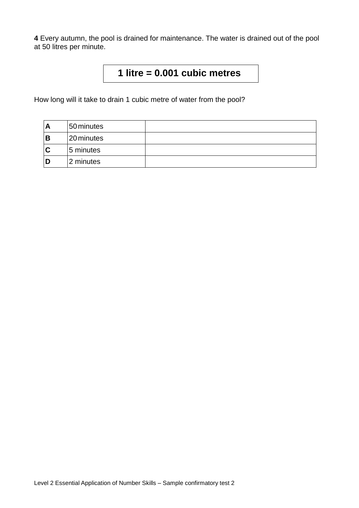**4** Every autumn, the pool is drained for maintenance. The water is drained out of the pool at 50 litres per minute.

# **1 litre = 0.001 cubic metres**

How long will it take to drain 1 cubic metre of water from the pool?

| A | 50 minutes |  |
|---|------------|--|
| В | 20 minutes |  |
| C | 5 minutes  |  |
| D | 2 minutes  |  |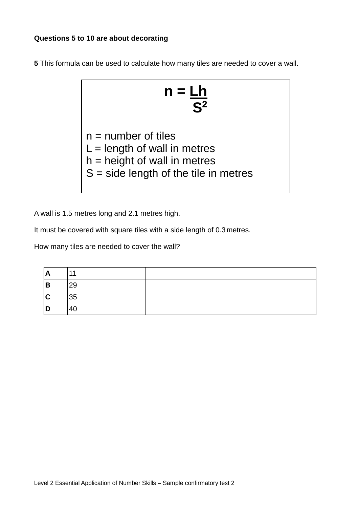#### **Questions 5 to 10 are about decorating**

**5** This formula can be used to calculate how many tiles are needed to cover a wall.

$$
n = \frac{Lh}{S^2}
$$

 $n =$  number of tiles

 $L =$  length of wall in metres

- $h =$  height of wall in metres
- $S = side$  length of the tile in metres

A wall is 1.5 metres long and 2.1 metres high.

It must be covered with square tiles with a side length of 0.3 metres.

How many tiles are needed to cover the wall?

| $\mathbf{A}$ |    |  |
|--------------|----|--|
| -<br>В       | 29 |  |
| C            | 35 |  |
| D            | Δſ |  |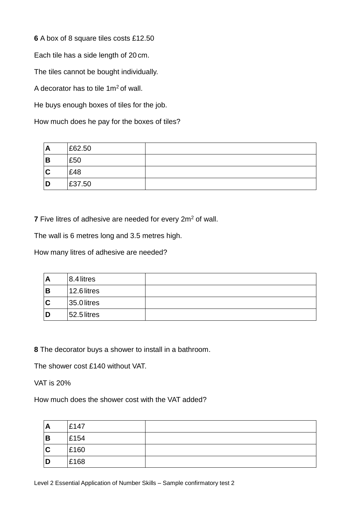**6** A box of 8 square tiles costs £12.50

Each tile has a side length of 20 cm.

The tiles cannot be bought individually.

A decorator has to tile  $1m^2$  of wall.

He buys enough boxes of tiles for the job.

How much does he pay for the boxes of tiles?

| A | £62.50 |  |
|---|--------|--|
| В | £50    |  |
| C | £48    |  |
| D | £37.50 |  |

**7** Five litres of adhesive are needed for every 2m<sup>2</sup> of wall.

The wall is 6 metres long and 3.5 metres high.

How many litres of adhesive are needed?

| A           | 8.4 litres  |  |
|-------------|-------------|--|
| B           | 12.6 litres |  |
| $\mathbf C$ | 35.0 litres |  |
| D           | 52.5 litres |  |

**8** The decorator buys a shower to install in a bathroom.

The shower cost £140 without VAT.

VAT is 20%

How much does the shower cost with the VAT added?

| A | £147 |  |
|---|------|--|
| B | £154 |  |
| C | £160 |  |
| D | £168 |  |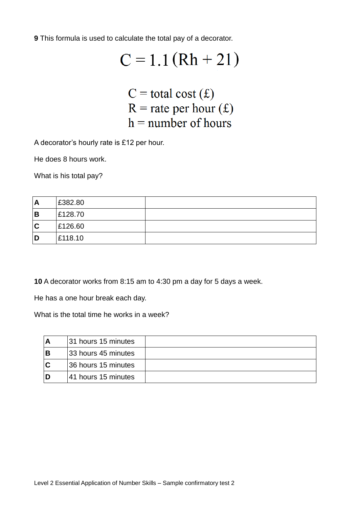**9** This formula is used to calculate the total pay of a decorator.

# $C = 1.1(Rh + 21)$

 $C =$  total cost  $(f)$  $R$  = rate per hour (£)  $h =$  number of hours

A decorator's hourly rate is £12 per hour.

He does 8 hours work.

What is his total pay?

| A | £382.80 |  |
|---|---------|--|
| B | £128.70 |  |
| C | £126.60 |  |
| D | £118.10 |  |

**10** A decorator works from 8:15 am to 4:30 pm a day for 5 days a week.

He has a one hour break each day.

What is the total time he works in a week?

| Α   | 31 hours 15 minutes |  |
|-----|---------------------|--|
| В   | 33 hours 45 minutes |  |
| C   | 36 hours 15 minutes |  |
| . D | 41 hours 15 minutes |  |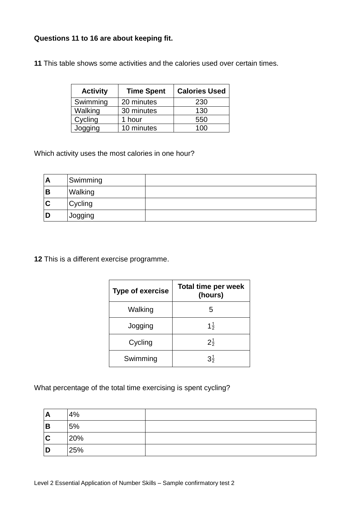## **Questions 11 to 16 are about keeping fit.**

**11** This table shows some activities and the calories used over certain times.

| <b>Activity</b> | <b>Time Spent</b> | <b>Calories Used</b> |
|-----------------|-------------------|----------------------|
| Swimming        | 20 minutes        | 230                  |
| Walking         | 30 minutes        | 130                  |
| Cycling         | 1 hour            | 550                  |
| Jogging         | 10 minutes        | 100                  |

Which activity uses the most calories in one hour?

| A | Swimming |  |
|---|----------|--|
| в | Walking  |  |
| C | Cycling  |  |
| D | Jogging  |  |

**12** This is a different exercise programme.

| <b>Type of exercise</b> | <b>Total time per week</b><br>(hours) |
|-------------------------|---------------------------------------|
| Walking                 | 5                                     |
| Jogging                 | $1\frac{1}{2}$                        |
| Cycling                 | $2\frac{1}{2}$                        |
| Swimming                | $3\frac{1}{2}$                        |

What percentage of the total time exercising is spent cycling?

| A | 4%  |  |
|---|-----|--|
| B | 5%  |  |
| C | 20% |  |
| D | 25% |  |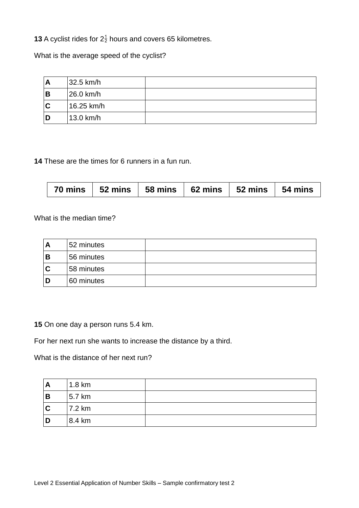**13** A cyclist rides for  $2\frac{1}{2}$  hours and covers 65 kilometres.

What is the average speed of the cyclist?

| A | 32.5 km/h  |  |
|---|------------|--|
| В | 26.0 km/h  |  |
| C | 16.25 km/h |  |
| D | 13.0 km/h  |  |

**14** These are the times for 6 runners in a fun run.

| 70 mins   52 mins   58 mins   62 mins   52 mins   54 mins |  |  |  |  |  |
|-----------------------------------------------------------|--|--|--|--|--|
|-----------------------------------------------------------|--|--|--|--|--|

What is the median time?

| A | 52 minutes |  |
|---|------------|--|
| В | 56 minutes |  |
| C | 58 minutes |  |
| D | 60 minutes |  |

**15** On one day a person runs 5.4 km.

For her next run she wants to increase the distance by a third.

What is the distance of her next run?

| A        | 1.8 km |  |
|----------|--------|--|
| <b>B</b> | 5.7 km |  |
| IC       | 7.2 km |  |
| I D      | 8.4 km |  |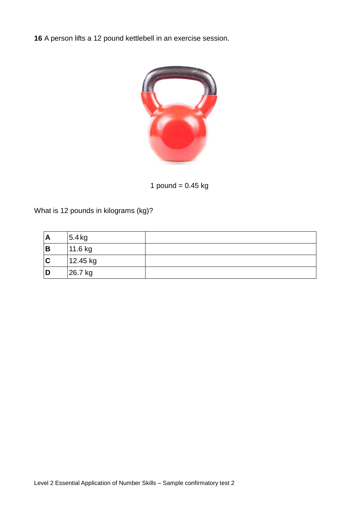**16** A person lifts a 12 pound kettlebell in an exercise session.



1 pound  $= 0.45$  kg

What is 12 pounds in kilograms (kg)?

| A | 5.4 kg   |  |
|---|----------|--|
| B | 11.6 kg  |  |
| C | 12.45 kg |  |
| D | 26.7 kg  |  |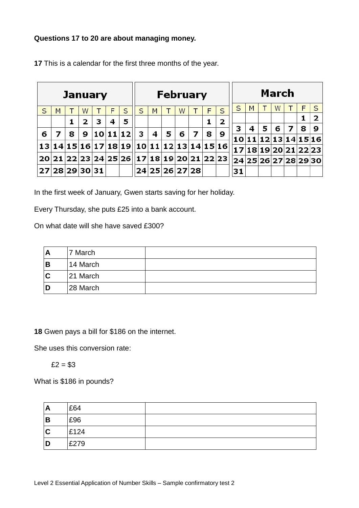### **Questions 17 to 20 are about managing money.**

|    |   |   |                | <b>January</b> |   |                   |                                           |   |   | <b>February</b>            |   |   |                |    |   |   | March |                   |   |                      |
|----|---|---|----------------|----------------|---|-------------------|-------------------------------------------|---|---|----------------------------|---|---|----------------|----|---|---|-------|-------------------|---|----------------------|
| S  | M |   | W              |                | F | S                 | S                                         | M |   | W                          |   | F | S              | S  | M |   | W     |                   | F | S                    |
|    |   |   | $\overline{2}$ | З              | 4 | 5                 |                                           |   |   |                            |   |   | $\overline{2}$ |    |   |   |       |                   | 1 | 2                    |
|    |   |   |                |                |   |                   |                                           |   |   |                            |   |   |                | з  | 4 | 5 | 6     | 7                 | 8 | 9                    |
| 6  | 7 | 8 | 9              |                |   | 10 11 12          | 3                                         | 4 | 5 | 6                          | 7 | 8 | 9              |    |   |   |       | 11 12 13 14 15 16 |   |                      |
| 13 |   |   |                |                |   | 14 15 16 17 18 19 |                                           |   |   | 10  11  12  13  14  15  16 |   |   |                |    |   |   |       | 18 19 20 21 22 23 |   |                      |
|    |   |   |                |                |   |                   |                                           |   |   |                            |   |   |                |    |   |   |       |                   |   |                      |
|    |   |   |                |                |   |                   | 20 21 22 23 24 25 26 17 18 19 20 21 22 23 |   |   |                            |   |   |                |    |   |   |       |                   |   | 24 25 26 27 28 29 30 |
| 27 |   |   | 28 29 30 31    |                |   |                   |                                           |   |   | 24 25 26 27 28             |   |   |                | 31 |   |   |       |                   |   |                      |

**17** This is a calendar for the first three months of the year.

In the first week of January, Gwen starts saving for her holiday.

Every Thursday, she puts £25 into a bank account.

On what date will she have saved £300?

| A | 7 March  |  |
|---|----------|--|
| B | 14 March |  |
| C | 21 March |  |
| D | 28 March |  |

**18** Gwen pays a bill for \$186 on the internet.

She uses this conversion rate:

 $£2 = $3$ 

What is \$186 in pounds?

| A           | £64  |  |
|-------------|------|--|
| B           | £96  |  |
| $\mathbf c$ | £124 |  |
| D           | £279 |  |